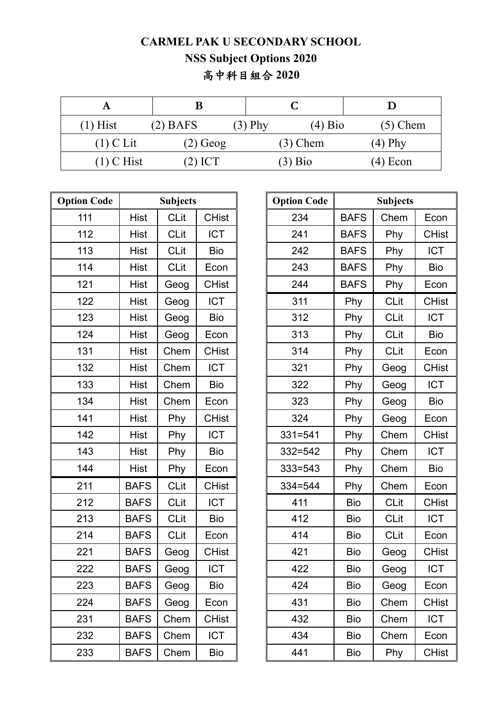## **CARMEL PAK U SECONDARY SCHOOL NSS Subject Options 2020**  高中科目組合 **2020**

| $(1)$ Hist   | $(2)$ BAFS | $(3)$ Phy | $(4)$ Bio  | $(5)$ Chem |  |
|--------------|------------|-----------|------------|------------|--|
| $(1)$ C Lit  | $(2)$ Geog |           | $(3)$ Chem | $(4)$ Phy  |  |
| $(1)$ C Hist | (2) ICT    |           | $(3)$ Bio  | $(4)$ Econ |  |

| <b>Option Code</b> | <b>Subjects</b> |             | <b>Option Code</b> |             | <b>Subjects</b> |             |
|--------------------|-----------------|-------------|--------------------|-------------|-----------------|-------------|
| 111                | <b>Hist</b>     | <b>CLit</b> | <b>CHist</b>       | 234         | <b>BAFS</b>     | Chem        |
| 112                | <b>Hist</b>     | <b>CLit</b> | <b>ICT</b>         | 241         | <b>BAFS</b>     | Phy         |
| 113                | <b>Hist</b>     | <b>CLit</b> | <b>Bio</b>         | 242         | <b>BAFS</b>     | Phy         |
| 114                | Hist            | <b>CLit</b> | Econ               | 243         | <b>BAFS</b>     | Phy         |
| 121                | Hist            | Geog        | <b>CHist</b>       | 244         | <b>BAFS</b>     | Phy         |
| 122                | <b>Hist</b>     | Geog        | <b>ICT</b>         | 311         | Phy             | <b>CLit</b> |
| 123                | Hist            | Geog        | <b>Bio</b>         | 312         | Phy             | <b>CLit</b> |
| 124                | <b>Hist</b>     | Geog        | Econ               | 313         | Phy             | <b>CLit</b> |
| 131                | <b>Hist</b>     | Chem        | <b>CHist</b>       | 314         | Phy             | <b>CLit</b> |
| 132                | Hist            | Chem        | <b>ICT</b>         | 321         | Phy             | Geog        |
| 133                | <b>Hist</b>     | Chem        | <b>Bio</b>         | 322         | Phy             | Geog        |
| 134                | <b>Hist</b>     | Chem        | Econ               | 323         | Phy             | Geog        |
| 141                | <b>Hist</b>     | Phy         | <b>CHist</b>       | 324         | Phy             | Geog        |
| 142                | <b>Hist</b>     | Phy         | <b>ICT</b>         | $331 = 541$ | Phy             | Chem        |
| 143                | <b>Hist</b>     | Phy         | <b>Bio</b>         | $332 = 542$ | Phy             | Chem        |
| 144                | <b>Hist</b>     | Phy         | Econ               | $333 = 543$ | Phy             | Chem        |
| 211                | <b>BAFS</b>     | <b>CLit</b> | <b>CHist</b>       | $334 = 544$ | Phy             | Chem        |
| 212                | <b>BAFS</b>     | <b>CLit</b> | <b>ICT</b>         | 411         | <b>Bio</b>      | <b>CLit</b> |
| 213                | <b>BAFS</b>     | <b>CLit</b> | <b>Bio</b>         | 412         | <b>Bio</b>      | <b>CLit</b> |
| 214                | <b>BAFS</b>     | <b>CLit</b> | Econ               | 414         | <b>Bio</b>      | <b>CLit</b> |
| 221                | <b>BAFS</b>     | Geog        | <b>CHist</b>       | 421         | Bio             | Geog        |
| 222                | <b>BAFS</b>     | Geog        | <b>ICT</b>         | 422         | Bio             | Geog        |
| 223                | <b>BAFS</b>     | Geog        | <b>Bio</b>         | 424         | Bio             | Geog        |
| 224                | <b>BAFS</b>     | Geog        | Econ               | 431         | <b>Bio</b>      | Chem        |
| 231                | <b>BAFS</b>     | Chem        | <b>CHist</b>       | 432         | <b>Bio</b>      | Chem        |
| 232                | <b>BAFS</b>     | Chem        | <b>ICT</b>         | 434         | <b>Bio</b>      | Chem        |
| 233                | <b>BAFS</b>     | Chem        | Bio                | 441         | <b>Bio</b>      | Phy         |

| on Code | <b>Subjects</b> |             | <b>Option Code</b> |             | <b>Subjects</b> |             |              |
|---------|-----------------|-------------|--------------------|-------------|-----------------|-------------|--------------|
| 111     | <b>Hist</b>     | <b>CLit</b> | <b>CHist</b>       | 234         | <b>BAFS</b>     | Chem        | Econ         |
| 112     | Hist            | <b>CLit</b> | <b>ICT</b>         | 241         | <b>BAFS</b>     | Phy         | <b>CHist</b> |
| 113     | Hist            | <b>CLit</b> | <b>Bio</b>         | 242         | <b>BAFS</b>     | Phy         | <b>ICT</b>   |
| 114     | <b>Hist</b>     | <b>CLit</b> | Econ               | 243         | <b>BAFS</b>     | Phy         | <b>Bio</b>   |
| 121     | <b>Hist</b>     | Geog        | <b>CHist</b>       | 244         | <b>BAFS</b>     | Phy         | Econ         |
| 122     | <b>Hist</b>     | Geog        | <b>ICT</b>         | 311         | Phy             | <b>CLit</b> | <b>CHist</b> |
| 123     | <b>Hist</b>     | Geog        | Bio                | 312         | Phy             | <b>CLit</b> | <b>ICT</b>   |
| 124     | Hist            | Geog        | Econ               | 313         | Phy             | <b>CLit</b> | <b>Bio</b>   |
| 131     | <b>Hist</b>     | Chem        | <b>CHist</b>       | 314         | Phy             | <b>CLit</b> | Econ         |
| 132     | <b>Hist</b>     | Chem        | <b>ICT</b>         | 321         | Phy             | Geog        | <b>CHist</b> |
| 133     | Hist            | Chem        | <b>Bio</b>         | 322         | Phy             | Geog        | <b>ICT</b>   |
| 134     | <b>Hist</b>     | Chem        | Econ               | 323         | Phy             | Geog        | <b>Bio</b>   |
| 141     | <b>Hist</b>     | Phy         | <b>CHist</b>       | 324         | Phy             | Geog        | Econ         |
| 142     | <b>Hist</b>     | Phy         | <b>ICT</b>         | $331 = 541$ | Phy             | Chem        | <b>CHist</b> |
| 143     | <b>Hist</b>     | Phy         | <b>Bio</b>         | $332 = 542$ | Phy             | Chem        | <b>ICT</b>   |
| 144     | <b>Hist</b>     | Phy         | Econ               | $333 = 543$ | Phy             | Chem        | <b>Bio</b>   |
| 211     | <b>BAFS</b>     | <b>CLit</b> | <b>CHist</b>       | $334 = 544$ | Phy             | Chem        | Econ         |
| 212     | <b>BAFS</b>     | <b>CLit</b> | <b>ICT</b>         | 411         | <b>Bio</b>      | <b>CLit</b> | <b>CHist</b> |
| 213     | <b>BAFS</b>     | <b>CLit</b> | <b>Bio</b>         | 412         | <b>Bio</b>      | <b>CLit</b> | ICT          |
| 214     | <b>BAFS</b>     | <b>CLit</b> | Econ               | 414         | <b>Bio</b>      | <b>CLit</b> | Econ         |
| 221     | <b>BAFS</b>     | Geog        | <b>CHist</b>       | 421         | <b>Bio</b>      | Geog        | <b>CHist</b> |
| 222     | <b>BAFS</b>     | Geog        | ICT                | 422         | <b>Bio</b>      | Geog        | <b>ICT</b>   |
| 223     | <b>BAFS</b>     | Geog        | <b>Bio</b>         | 424         | <b>Bio</b>      | Geog        | Econ         |
| 224     | <b>BAFS</b>     | Geog        | Econ               | 431         | <b>Bio</b>      | Chem        | <b>CHist</b> |
| 231     | <b>BAFS</b>     | Chem        | <b>CHist</b>       | 432         | <b>Bio</b>      | Chem        | <b>ICT</b>   |
| 232     | <b>BAFS</b>     | Chem        | <b>ICT</b>         | 434         | <b>Bio</b>      | Chem        | Econ         |
| 233     | <b>BAFS</b>     | Chem        | <b>Bio</b>         | 441         | <b>Bio</b>      | Phy         | <b>CHist</b> |